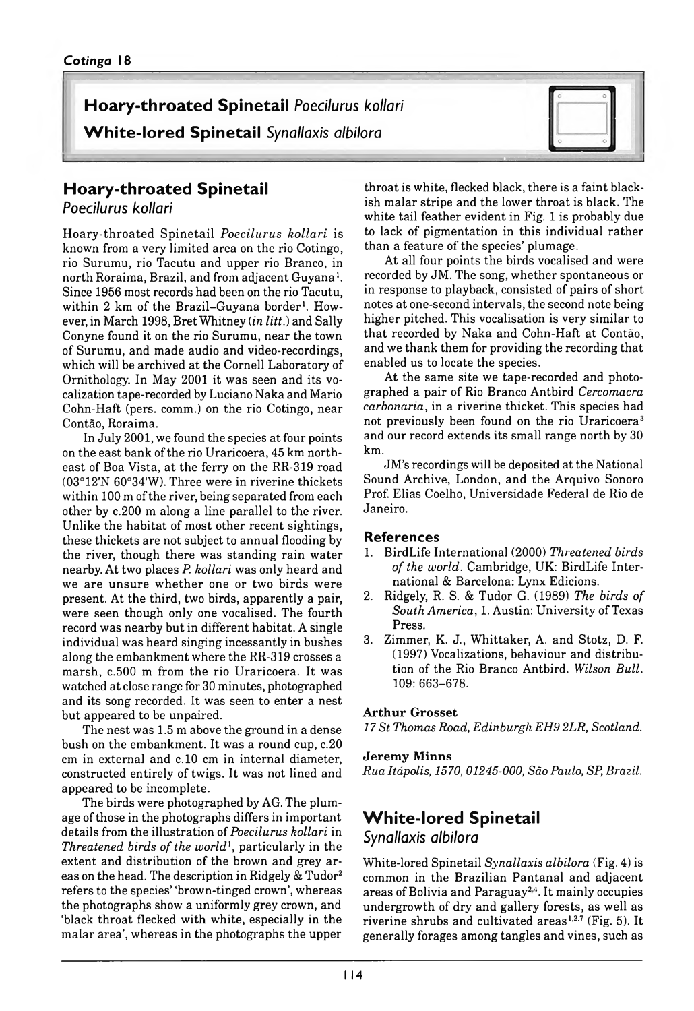# **Hoary-throated Spinetail Poecilurus kollari**

**White-lored Spinetail** Synallaxis albilora



## **Hoary-throated Spinetail**

*Poecilurus kollari*

H oary-throated S pinetail *Poecilurus kollari* is known from a very limited area on the rio Cotingo, rio Surumu, rio Tacutu and upper rio Branco, in north Roraima, Brazil, and from adjacent Guyana<sup>1</sup>. Since 1956 most records had been on the rio Tacutu, within 2 km of the Brazil-Guyana border<sup>1</sup>. However, in March 1998, Bret Whitney (*in litt.*) and Sally Conyne found it on the rio Surumu, near the town of Surumu, and made audio and video-recordings, which will be archived at the Cornell Laboratory of Ornithology. In May 2001 it was seen and its vocalization tape-recorded by Luciano Naka and Mario Cohn-Haft (pers. comm.) on the rio Cotingo, near Contão, Roraima.

In July 2001, we found the species at four points on the east bank of the rio Uraricoera, 45 km northeast of Boa Vista, at the ferry on the RR-319 road (03°12'N 60°34'W). Three were in riverine thickets within 100 m of the river, being separated from each other by *c.* 200 m along a line parallel to the river. Unlike the habitat of most other recent sightings, these thickets are not subject to annual flooding by the river, though there was standing rain water nearby. At two places *P. kollari* was only heard and we are unsure w hether one or two birds were present. At the third, two birds, apparently a pair, were seen though only one vocalised. The fourth record was nearby but in different habitat. A single individual was heard singing incessantly in bushes along the embankment where the RR-319 crosses a marsh,  $c.500$  m from the rio Uraricoera. It was watched at close range for 30 minutes, photographed and its song recorded. It was seen to enter a nest but appeared to be unpaired.

The nest was 1.5 m above the ground in a dense bush on the embankment. It was a round cup, c.20 cm in external and c.10 cm in internal diameter, constructed entirely of twigs. It was not lined and appeared to be incomplete.

The birds were photographed by AG. The plumage of those in the photographs differs in important details from the illustration of *Poecilurus kollari* in *Threatened birds of the world*1, particularly in the extent and distribution of the brown and grey areas on the head. The description in Ridgely & Tudor2 refers to the species' 'brown-tinged crown', whereas the photographs show a uniformly grey crown, and 'black throat flecked with white, especially in the malar area', whereas in the photographs the upper

throat is white, flecked black, there is a faint blackish malar stripe and the lower throat is black. The white tail feather evident in Fig. 1 is probably due to lack of pigmentation in this individual rather than a feature of the species' plumage.

At all four points the birds vocalised and were recorded by JM. The song, whether spontaneous or in response to playback, consisted of pairs of short notes at one-second intervals, the second note being higher pitched. This vocalisation is very similar to th at recorded by Naka and Cohn-Haft at Contão, and we thank them for providing the recording that enabled us to locate the species.

At the same site we tape-recorded and photographed a pair of Rio Branco Antbird *Cercomacra carbonaria,* in a riverine thicket. This species had not previously been found on the rio Uraricoera<sup>3</sup> and our record extends its small range north by 30 km.

JM 's recordings will be deposited at the National Sound Archive, London, and the Arquivo Sonoro Prof. Elias Coelho, Universidade Federal de Rio de Janeiro.

#### **References**

- 1. BirdLife International (2000) *Threatened birds of the world.* Cambridge, UK: BirdLife International & Barcelona: Lynx Edicions.
- 2. Ridgely, R. S. & Tudor G. ( 1989) *The birds of South America,* 1. Austin: University of Texas Press.
- 3. Zimmer, K. J., Whittaker, A. and Stotz, D. F. (1997) Vocalizations, behaviour and distribution of the Rio Branco Antbird. *Wilson Bull.* 109: 663–678.

#### **Arthur Grosset**

*17 St Thomas Road, Edinburgh EH9 2LR, Scotland.*

#### **Jeremy Minns**

*Rua Itápolis, 1570, 01245-000, São Paulo, SP, Brazil.*

## **White-lored Spinetail**

#### *Synallaxis albilora*

White-lored Spinetail *Synallaxis albilora* (Fig. 4) is common in the Brazilian Pantanal and adjacent areas of Bolivia and Paraguay2.4. It mainly occupies undergrowth of dry and gallery forests, as well as riverine shrubs and cultivated areas<sup>1,2,7</sup> (Fig. 5). It generally forages among tangles and vines, such as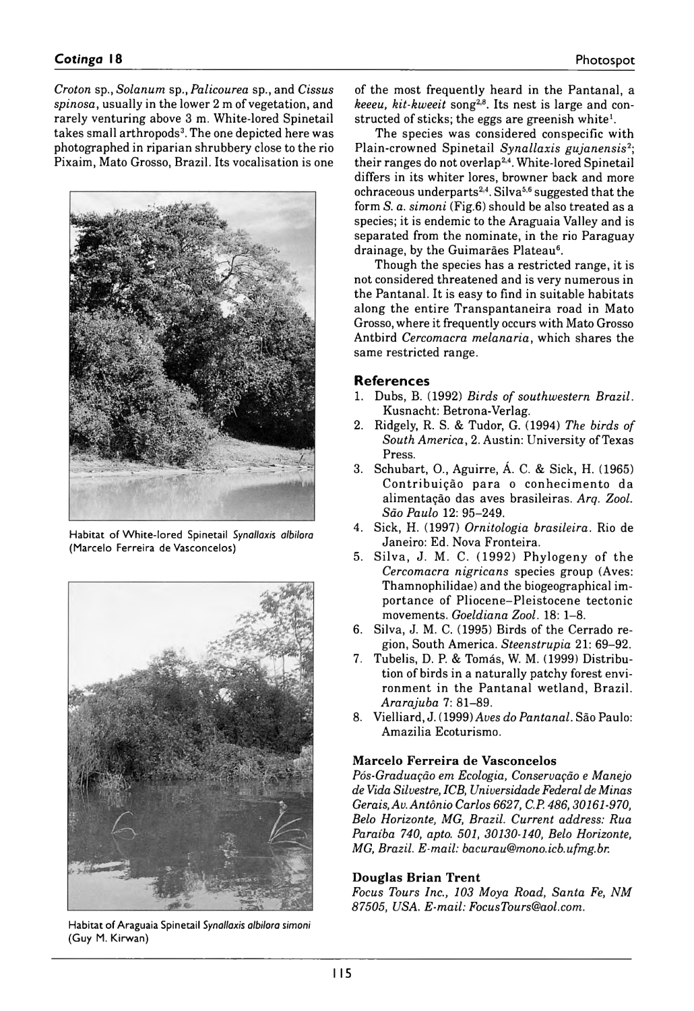*Croton* sp., *Solanum* sp., *Palicourea* sp., and *Cissus spinosa*, usually in the lower 2 m of vegetation, and rarely venturing above 3 m. White-lored Spinetail takes small arthropods<sup>3</sup>. The one depicted here was photographed in riparian shrubbery close to the rio Pixaim, Mato Grosso, Brazil. Its vocalisation is one



Habitat of White-lored Spinetail *Synallaxis albilora* (Marcelo Ferreira de Vasconcelos)



Habitat of Araguaia Spinetail *Synallaxis albilora simoni* (Guy M. Kirwan)

of the most frequently heard in the Pantanal, a *keeeu, kit-kweeit* song2,8. Its nest is large and constructed of sticks; the eggs are greenish white $<sup>1</sup>$ .</sup>

The species was considered conspecific with Plain-crowned Spinetail *Synallaxis gujanensis*2; their ranges do not overlap<sup>2,4</sup>. White-lored Spinetail differs in its whiter lores, browner back and more ochraceous underparts<sup>2,4</sup>. Silva<sup>5,6</sup> suggested that the form *S. a. simoni* (Fig.6) should be also treated as a species; it is endemic to the Araguaia Valley and is separated from the nominate, in the rio Paraguay drainage, by the Guimarães Plateau<sup>6</sup>.

Though the species has a restricted range, it is not considered threatened and is very numerous in the Pantanal. It is easy to find in suitable habitats along the entire Transpantaneira road in Mato Grosso, where it frequently occurs with Mato Grosso Antbird *Cercomacra melanaria,* which shares the same restricted range.

### **References**

- 1. Dubs, B. ( 1992) *Birds of southwestern Brazil.* Kusnacht: Betrona-Verlag.
- 2. Ridgely, R. S. & Tudor, G. ( 1994) *The birds of South America,* 2. Austin: University of Texas Press.
- 3. Schubart, O., Aguirre, Á. C. & Sick, H. ( 1965) Contribuição para o conhecimento da alimentação das aves brasileiras. *Arq. Zool. São Paulo* 12: 95–249.
- 4. Sick, H. ( 1997) *Ornitologia brasileira.* Rio de Janeiro: Ed. Nova Fronteira.
- 5. Silva, J. M. C. (1992) Phylogeny of the *Cercomacra nigricans* species group (Aves: Thamnophilidae) and the biogeographical importance of Pliocene–Pleistocene tectonic movements. *Goeldiana Zool.* 18: 1–8.
- 6. Silva, J. M. C. ( 1995) Birds of the Cerrado region, South America. *Steenstrupia* 21: 69–92.
- 7. Tubelis, D. P. & Tomás, W. M. (1999) Distribution of birds in a naturally patchy forest environment in the Pantanal wetland, Brazil. *Ararajuba* 7: 81–89.
- 8. Vielliard, J.( 1999) *Aves do Pantanal.* São Paulo: Amazilia Ecoturismo.

#### **Marcelo Ferreira de Vasconcelos**

*Pós-Graduação em Ecologia, Conservação e Manejo de Vida Silvestre, ICB, Universidade Federal de Minas Gerais, Av. Antônio Carlos 6627, C.P. 486, 30161-970, Belo Horizonte, MG, Brazil. Current address: Rua Paraíba 740, apto. 501, 30130-140, Belo Horizonte, MG, Brazil. E-mail: [bacurau@mono.icb.ufmg.br](mailto:bacurau@mono.icb.ufmg.br).*

#### **Douglas Brian Trent**

*Focus Tours Inc., 103 Moya Road, Santa Fe, NM 87505, USA. E-mail: [FocusTours@aol.com.](mailto:FocusTours@aol.com)*